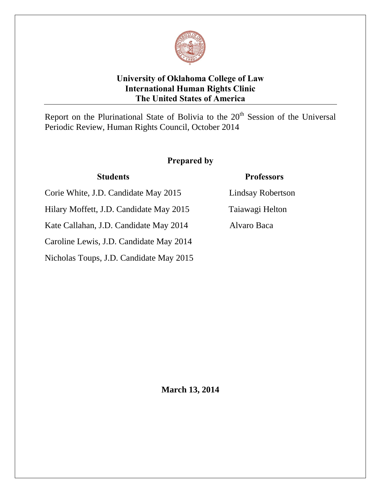# **University of Oklahoma College of Law International Human Rights Clinic The United States of America**

Report on the Plurinational State of Bolivia to the  $20<sup>th</sup>$  Session of the Universal Periodic Review, Human Rights Council, October 2014

# **Prepared by**

Corie White, J.D. Candidate May 2015 Lindsay Robertson

Hilary Moffett, J.D. Candidate May 2015 Taiawagi Helton

Kate Callahan, J.D. Candidate May 2014 Alvaro Baca

Caroline Lewis, J.D. Candidate May 2014

Nicholas Toups, J.D. Candidate May 2015

# **Students Professors**



**March 13, 2014**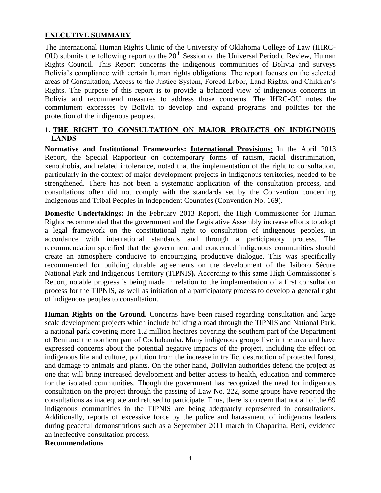## **EXECUTIVE SUMMARY**

The International Human Rights Clinic of the University of Oklahoma College of Law (IHRC-OU) submits the following report to the  $20<sup>th</sup>$  Session of the Universal Periodic Review, Human Rights Council. This Report concerns the indigenous communities of Bolivia and surveys Bolivia's compliance with certain human rights obligations. The report focuses on the selected areas of Consultation, Access to the Justice System, Forced Labor, Land Rights, and Children's Rights. The purpose of this report is to provide a balanced view of indigenous concerns in Bolivia and recommend measures to address those concerns. The IHRC-OU notes the commitment expresses by Bolivia to develop and expand programs and policies for the protection of the indigenous peoples.

## **1. THE RIGHT TO CONSULTATION ON MAJOR PROJECTS ON INDIGINOUS LANDS**

**Normative and Institutional Frameworks: International Provisions**: In the April 2013 Report, the Special Rapporteur on contemporary forms of racism, racial discrimination, xenophobia, and related intolerance, noted that the implementation of the right to consultation, particularly in the context of major development projects in indigenous territories, needed to be strengthened. There has not been a systematic application of the consultation process, and consultations often did not comply with the standards set by the Convention concerning Indigenous and Tribal Peoples in Independent Countries (Convention No. 169).

**Domestic Undertakings:** In the February 2013 Report, the High Commissioner for Human Rights recommended that the government and the Legislative Assembly increase efforts to adopt a legal framework on the constitutional right to consultation of indigenous peoples, in accordance with international standards and through a participatory process. The recommendation specified that the government and concerned indigenous communities should create an atmosphere conducive to encouraging productive dialogue. This was specifically recommended for building durable agreements on the development of the Isiboro Sécure National Park and Indigenous Territory (TIPNIS**).** According to this same High Commissioner's Report, notable progress is being made in relation to the implementation of a first consultation process for the TIPNIS, as well as initiation of a participatory process to develop a general right of indigenous peoples to consultation.

Human Rights on the Ground. Concerns have been raised regarding consultation and large scale development projects which include building a road through the TIPNIS and National Park, a national park covering more 1.2 million hectares covering the southern part of the Department of Beni and the northern part of Cochabamba. Many indigenous groups live in the area and have expressed concerns about the potential negative impacts of the project, including the effect on indigenous life and culture, pollution from the increase in traffic, destruction of protected forest, and damage to animals and plants. On the other hand, Bolivian authorities defend the project as one that will bring increased development and better access to health, education and commerce for the isolated communities. Though the government has recognized the need for indigenous consultation on the project through the passing of Law No. 222, some groups have reported the consultations as inadequate and refused to participate. Thus, there is concern that not all of the 69 indigenous communities in the TIPNIS are being adequately represented in consultations. Additionally, reports of excessive force by the police and harassment of indigenous leaders during peaceful demonstrations such as a September 2011 march in Chaparina, Beni, evidence an ineffective consultation process.

## **Recommendations**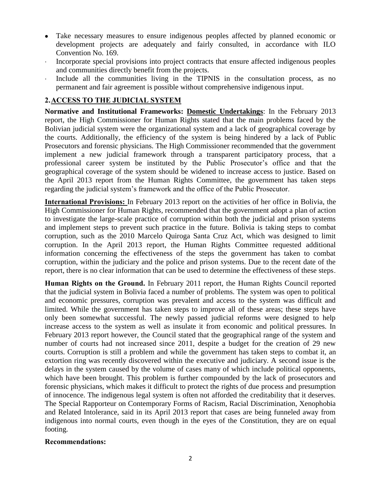- Take necessary measures to ensure indigenous peoples affected by planned economic or development projects are adequately and fairly consulted, in accordance with ILO Convention No. 169.
- · Incorporate special provisions into project contracts that ensure affected indigenous peoples and communities directly benefit from the projects.
- Include all the communities living in the TIPNIS in the consultation process, as no permanent and fair agreement is possible without comprehensive indigenous input.

## **2.ACCESS TO THE JUDICIAL SYSTEM**

**Normative and Institutional Frameworks: Domestic Undertakings**: In the February 2013 report, the High Commissioner for Human Rights stated that the main problems faced by the Bolivian judicial system were the organizational system and a lack of geographical coverage by the courts. Additionally, the efficiency of the system is being hindered by a lack of Public Prosecutors and forensic physicians. The High Commissioner recommended that the government implement a new judicial framework through a transparent participatory process, that a professional career system be instituted by the Public Prosecutor's office and that the geographical coverage of the system should be widened to increase access to justice. Based on the April 2013 report from the Human Rights Committee, the government has taken steps regarding the judicial system's framework and the office of the Public Prosecutor.

**International Provisions:** In February 2013 report on the activities of her office in Bolivia, the High Commissioner for Human Rights*,* recommended that the government adopt a plan of action to investigate the large-scale practice of corruption within both the judicial and prison systems and implement steps to prevent such practice in the future. Bolivia is taking steps to combat corruption, such as the 2010 Marcelo Quiroga Santa Cruz Act, which was designed to limit corruption. In the April 2013 report, the Human Rights Committee requested additional information concerning the effectiveness of the steps the government has taken to combat corruption, within the judiciary and the police and prison systems. Due to the recent date of the report, there is no clear information that can be used to determine the effectiveness of these steps.

**Human Rights on the Ground.** In February 2011 report, the Human Rights Council reported that the judicial system in Bolivia faced a number of problems. The system was open to political and economic pressures, corruption was prevalent and access to the system was difficult and limited. While the government has taken steps to improve all of these areas; these steps have only been somewhat successful. The newly passed judicial reforms were designed to help increase access to the system as well as insulate it from economic and political pressures. In February 2013 report however, the Council stated that the geographical range of the system and number of courts had not increased since 2011, despite a budget for the creation of 29 new courts. Corruption is still a problem and while the government has taken steps to combat it, an extortion ring was recently discovered within the executive and judiciary. A second issue is the delays in the system caused by the volume of cases many of which include political opponents, which have been brought. This problem is further compounded by the lack of prosecutors and forensic physicians, which makes it difficult to protect the rights of due process and presumption of innocence. The indigenous legal system is often not afforded the creditability that it deserves. The Special Rapporteur on Contemporary Forms of Racism, Racial Discrimination, Xenophobia and Related Intolerance, said in its April 2013 report that cases are being funneled away from indigenous into normal courts, even though in the eyes of the Constitution, they are on equal footing.

#### **Recommendations:**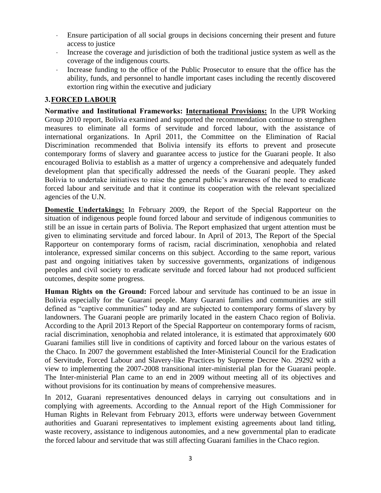- Ensure participation of all social groups in decisions concerning their present and future access to justice
- · Increase the coverage and jurisdiction of both the traditional justice system as well as the coverage of the indigenous courts.
- · Increase funding to the office of the Public Prosecutor to ensure that the office has the ability, funds, and personnel to handle important cases including the recently discovered extortion ring within the executive and judiciary

## **3.FORCED LABOUR**

**Normative and Institutional Frameworks: International Provisions:** In the UPR Working Group 2010 report, Bolivia examined and supported the recommendation continue to strengthen measures to eliminate all forms of servitude and forced labour, with the assistance of international organizations. In April 2011, the Committee on the Elimination of Racial Discrimination recommended that Bolivia intensify its efforts to prevent and prosecute contemporary forms of slavery and guarantee access to justice for the Guarani people. It also encouraged Bolivia to establish as a matter of urgency a comprehensive and adequately funded development plan that specifically addressed the needs of the Guarani people. They asked Bolivia to undertake initiatives to raise the general public's awareness of the need to eradicate forced labour and servitude and that it continue its cooperation with the relevant specialized agencies of the U.N.

**Domestic Undertakings:** In February 2009, the Report of the Special Rapporteur on the situation of indigenous people found forced labour and servitude of indigenous communities to still be an issue in certain parts of Bolivia. The Report emphasized that urgent attention must be given to eliminating servitude and forced labour. In April of 2013, The Report of the Special Rapporteur on contemporary forms of racism, racial discrimination, xenophobia and related intolerance, expressed similar concerns on this subject. According to the same report, various past and ongoing initiatives taken by successive governments, organizations of indigenous peoples and civil society to eradicate servitude and forced labour had not produced sufficient outcomes, despite some progress.

**Human Rights on the Ground:** Forced labour and servitude has continued to be an issue in Bolivia especially for the Guarani people. Many Guarani families and communities are still defined as "captive communities" today and are subjected to contemporary forms of slavery by landowners. The Guarani people are primarily located in the eastern Chaco region of Bolivia. According to the April 2013 Report of the Special Rapporteur on contemporary forms of racism, racial discrimination, xenophobia and related intolerance, it is estimated that approximately 600 Guarani families still live in conditions of captivity and forced labour on the various estates of the Chaco. In 2007 the government established the Inter-Ministerial Council for the Eradication of Servitude, Forced Labour and Slavery-like Practices by Supreme Decree No. 29292 with a view to implementing the 2007-2008 transitional inter-ministerial plan for the Guarani people. The Inter-ministerial Plan came to an end in 2009 without meeting all of its objectives and without provisions for its continuation by means of comprehensive measures.

In 2012, Guarani representatives denounced delays in carrying out consultations and in complying with agreements. According to the Annual report of the High Commissioner for Human Rights in Relevant from February 2013, efforts were underway between Government authorities and Guarani representatives to implement existing agreements about land titling, waste recovery, assistance to indigenous autonomies, and a new governmental plan to eradicate the forced labour and servitude that was still affecting Guarani families in the Chaco region.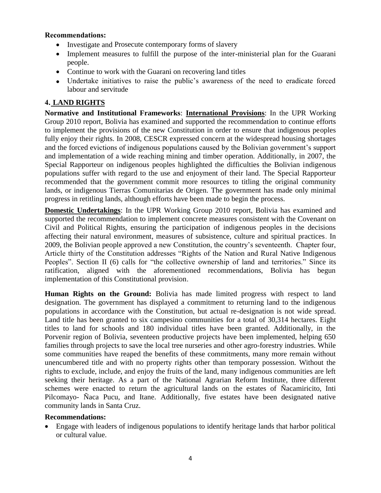### **Recommendations:**

- Investigate and Prosecute contemporary forms of slavery
- Implement measures to fulfill the purpose of the inter-ministerial plan for the Guarani people.
- Continue to work with the Guarani on recovering land titles
- Undertake initiatives to raise the public's awareness of the need to eradicate forced labour and servitude

## **4. LAND RIGHTS**

**Normative and Institutional Frameworks**: **International Provisions**: In the UPR Working Group 2010 report, Bolivia has examined and supported the recommendation to continue efforts to implement the provisions of the new Constitution in order to ensure that indigenous peoples fully enjoy their rights. In 2008, CESCR expressed concern at the widespread housing shortages and the forced evictions of indigenous populations caused by the Bolivian government's support and implementation of a wide reaching mining and timber operation. Additionally, in 2007, the Special Rapporteur on indigenous peoples highlighted the difficulties the Bolivian indigenous populations suffer with regard to the use and enjoyment of their land. The Special Rapporteur recommended that the government commit more resources to titling the original community lands, or indigenous Tierras Comunitarias de Origen. The government has made only minimal progress in retitling lands, although efforts have been made to begin the process.

**Domestic Undertakings**: In the UPR Working Group 2010 report, Bolivia has examined and supported the recommendation to implement concrete measures consistent with the Covenant on Civil and Political Rights, ensuring the participation of indigenous peoples in the decisions affecting their natural environment, measures of subsistence, culture and spiritual practices. In 2009, the Bolivian people approved a new Constitution, the country's seventeenth. Chapter four, Article thirty of the Constitution addresses "Rights of the Nation and Rural Native Indigenous Peoples". Section II (6) calls for "the collective ownership of land and territories." Since its ratification, aligned with the aforementioned recommendations, Bolivia has begun implementation of this Constitutional provision.

**Human Rights on the Ground:** Bolivia has made limited progress with respect to land designation. The government has displayed a commitment to returning land to the indigenous populations in accordance with the Constitution, but actual re-designation is not wide spread. Land title has been granted to six campesino communities for a total of 30,314 hectares. Eight titles to land for schools and 180 individual titles have been granted. Additionally, in the Porvenir region of Bolivia, seventeen productive projects have been implemented, helping 650 families through projects to save the local tree nurseries and other agro-forestry industries. While some communities have reaped the benefits of these commitments, many more remain without unencumbered title and with no property rights other than temporary possession. Without the rights to exclude, include, and enjoy the fruits of the land, many indigenous communities are left seeking their heritage. As a part of the National Agrarian Reform Institute, three different schemes were enacted to return the agricultural lands on the estates of Ñacamiricito, Inti Pilcomayo- Ñaca Pucu, and Itane. Additionally, five estates have been designated native community lands in Santa Cruz.

### **Recommendations:**

 Engage with leaders of indigenous populations to identify heritage lands that harbor political or cultural value.